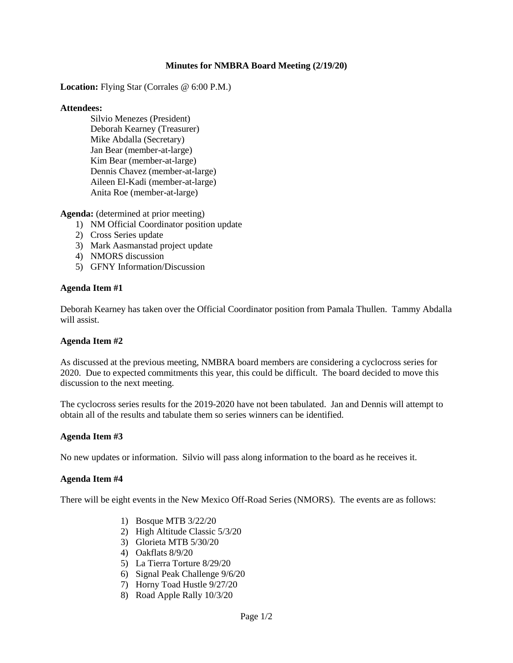## **Minutes for NMBRA Board Meeting (2/19/20)**

**Location:** Flying Star (Corrales @ 6:00 P.M.)

### **Attendees:**

Silvio Menezes (President) Deborah Kearney (Treasurer) Mike Abdalla (Secretary) Jan Bear (member-at-large) Kim Bear (member-at-large) Dennis Chavez (member-at-large) Aileen El-Kadi (member-at-large) Anita Roe (member-at-large)

**Agenda:** (determined at prior meeting)

- 1) NM Official Coordinator position update
- 2) Cross Series update
- 3) Mark Aasmanstad project update
- 4) NMORS discussion
- 5) GFNY Information/Discussion

### **Agenda Item #1**

Deborah Kearney has taken over the Official Coordinator position from Pamala Thullen. Tammy Abdalla will assist.

## **Agenda Item #2**

As discussed at the previous meeting, NMBRA board members are considering a cyclocross series for 2020. Due to expected commitments this year, this could be difficult. The board decided to move this discussion to the next meeting.

The cyclocross series results for the 2019-2020 have not been tabulated. Jan and Dennis will attempt to obtain all of the results and tabulate them so series winners can be identified.

#### **Agenda Item #3**

No new updates or information. Silvio will pass along information to the board as he receives it.

### **Agenda Item #4**

There will be eight events in the New Mexico Off-Road Series (NMORS). The events are as follows:

- 1) Bosque MTB 3/22/20
- 2) High Altitude Classic 5/3/20
- 3) Glorieta MTB 5/30/20
- 4) Oakflats 8/9/20
- 5) La Tierra Torture 8/29/20
- 6) Signal Peak Challenge 9/6/20
- 7) Horny Toad Hustle 9/27/20
- 8) Road Apple Rally 10/3/20